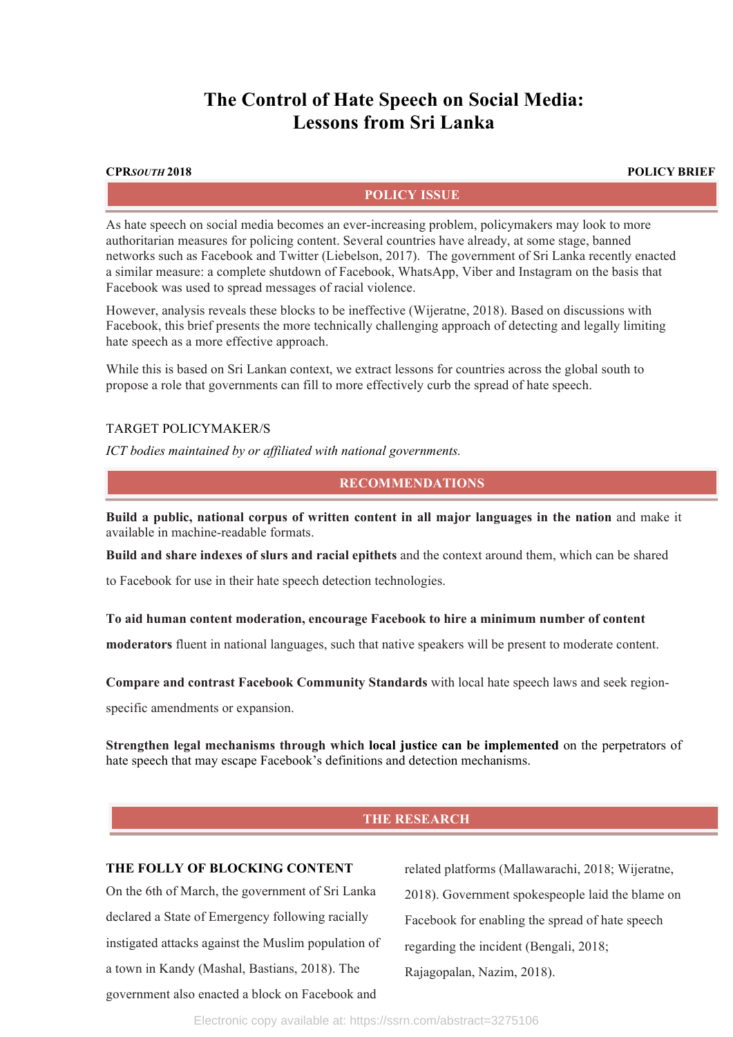# **The Control of Hate Speech on Social Media: Lessons from Sri Lanka**

**CPR***SOUTH* **2018 POLICY BRIEF**

#### **POLICY ISSUE**

As hate speech on social media becomes an ever-increasing problem, policymakers may look to more authoritarian measures for policing content. Several countries have already, at some stage, banned networks such as Facebook and Twitter (Liebelson, 2017). The government of Sri Lanka recently enacted a similar measure: a complete shutdown of Facebook, WhatsApp, Viber and Instagram on the basis that Facebook was used to spread messages of racial violence.

However, analysis reveals these blocks to be ineffective (Wijeratne, 2018). Based on discussions with Facebook, this brief presents the more technically challenging approach of detecting and legally limiting hate speech as a more effective approach.

While this is based on Sri Lankan context, we extract lessons for countries across the global south to propose a role that governments can fill to more effectively curb the spread of hate speech.

#### TARGET POLICYMAKER/S

*ICT bodies maintained by or affiliated with national governments.* 

### **RECOMMENDATIONS**

**Build a public, national corpus of written content in all major languages in the nation** and make it available in machine-readable formats.

**Build and share indexes of slurs and racial epithets** and the context around them, which can be shared

to Facebook for use in their hate speech detection technologies.

#### **To aid human content moderation, encourage Facebook to hire a minimum number of content**

**moderators** fluent in national languages, such that native speakers will be present to moderate content.

**Compare and contrast Facebook Community Standards** with local hate speech laws and seek region-

specific amendments or expansion.

**Strengthen legal mechanisms through which local justice can be implemented** on the perpetrators of hate speech that may escape Facebook's definitions and detection mechanisms.

## **THE RESEARCH**

## **THE FOLLY OF BLOCKING CONTENT**

On the 6th of March, the government of Sri Lanka declared a State of Emergency following racially instigated attacks against the Muslim population of a town in Kandy (Mashal, Bastians, 2018). The government also enacted a block on Facebook and

related platforms (Mallawarachi, 2018; Wijeratne, 2018). Government spokespeople laid the blame on Facebook for enabling the spread of hate speech regarding the incident (Bengali, 2018; Rajagopalan, Nazim, 2018).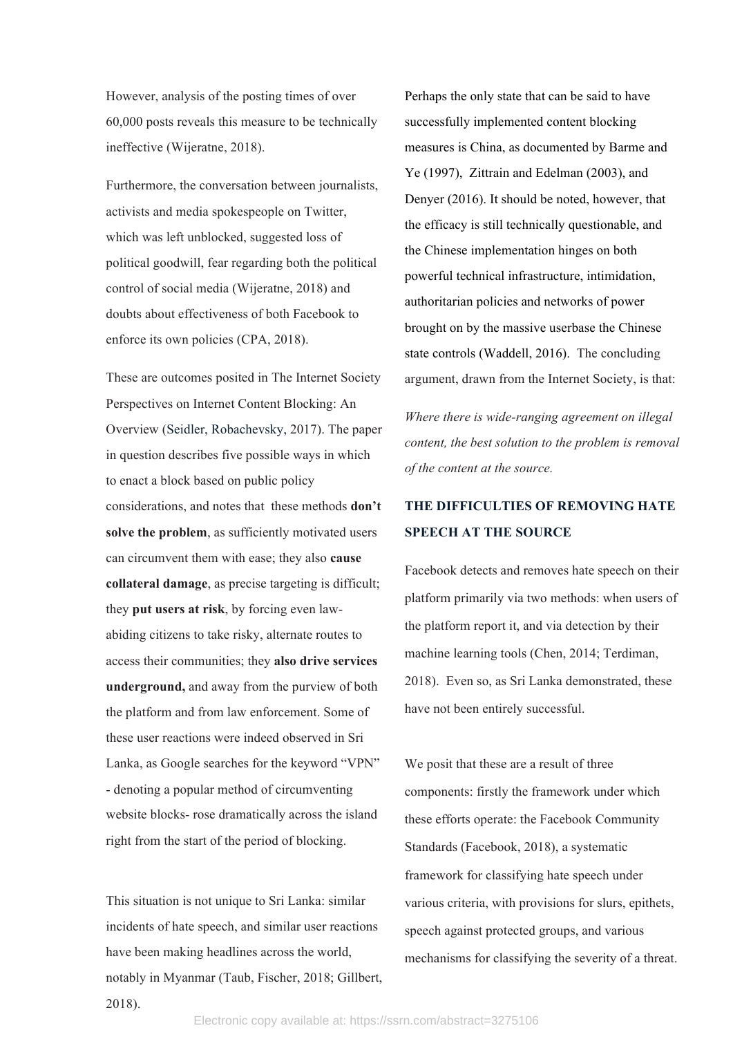However, analysis of the posting times of over 60,000 posts reveals this measure to be technically ineffective (Wijeratne, 2018).

Furthermore, the conversation between journalists, activists and media spokespeople on Twitter, which was left unblocked, suggested loss of political goodwill, fear regarding both the political control of social media (Wijeratne, 2018) and doubts about effectiveness of both Facebook to enforce its own policies (CPA, 2018).

These are outcomes posited in The Internet Society Perspectives on Internet Content Blocking: An Overview (Seidler, Robachevsky, 2017). The paper in question describes five possible ways in which to enact a block based on public policy considerations, and notes that these methods **don't**  solve the problem, as sufficiently motivated users can circumvent them with ease; they also **cause collateral damage**, as precise targeting is difficult; they **put users at risk**, by forcing even lawabiding citizens to take risky, alternate routes to access their communities; they **also drive services underground,** and away from the purview of both the platform and from law enforcement. Some of these user reactions were indeed observed in Sri Lanka, as Google searches for the keyword "VPN" - denoting a popular method of circumventing website blocks- rose dramatically across the island right from the start of the period of blocking.

This situation is not unique to Sri Lanka: similar incidents of hate speech, and similar user reactions have been making headlines across the world, notably in Myanmar (Taub, Fischer, 2018; Gillbert, 2018).

Perhaps the only state that can be said to have successfully implemented content blocking measures is China, as documented by Barme and Ye (1997), Zittrain and Edelman (2003), and Denyer (2016). It should be noted, however, that the efficacy is still technically questionable, and the Chinese implementation hinges on both powerful technical infrastructure, intimidation, authoritarian policies and networks of power brought on by the massive userbase the Chinese state controls (Waddell, 2016). The concluding argument, drawn from the Internet Society, is that:

*Where there is wide-ranging agreement on illegal content, the best solution to the problem is removal of the content at the source.*

# **THE DIFFICULTIES OF REMOVING HATE SPEECH AT THE SOURCE**

Facebook detects and removes hate speech on their platform primarily via two methods: when users of the platform report it, and via detection by their machine learning tools (Chen, 2014; Terdiman, 2018). Even so, as Sri Lanka demonstrated, these have not been entirely successful.

We posit that these are a result of three components: firstly the framework under which these efforts operate: the Facebook Community Standards (Facebook, 2018), a systematic framework for classifying hate speech under various criteria, with provisions for slurs, epithets, speech against protected groups, and various mechanisms for classifying the severity of a threat.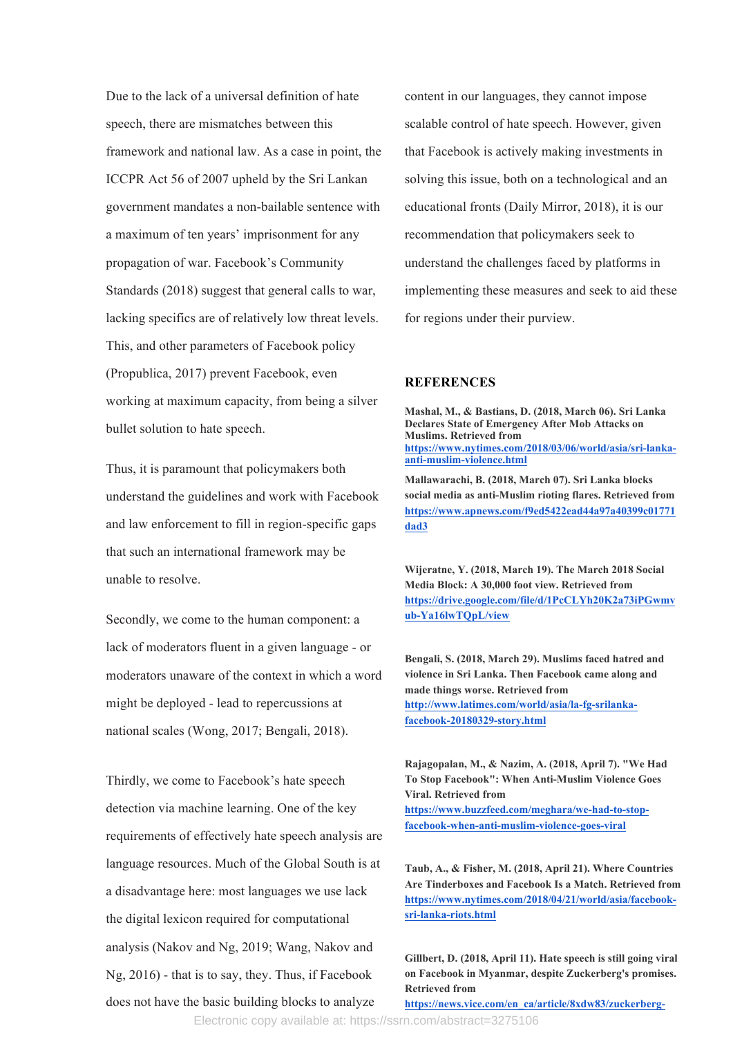Due to the lack of a universal definition of hate speech, there are mismatches between this framework and national law. As a case in point, the ICCPR Act 56 of 2007 upheld by the Sri Lankan government mandates a non-bailable sentence with a maximum of ten years' imprisonment for any propagation of war. Facebook's Community Standards (2018) suggest that general calls to war, lacking specifics are of relatively low threat levels. This, and other parameters of Facebook policy (Propublica, 2017) prevent Facebook, even working at maximum capacity, from being a silver bullet solution to hate speech.

Thus, it is paramount that policymakers both understand the guidelines and work with Facebook and law enforcement to fill in region-specific gaps that such an international framework may be unable to resolve.

Secondly, we come to the human component: a lack of moderators fluent in a given language - or moderators unaware of the context in which a word might be deployed - lead to repercussions at national scales (Wong, 2017; Bengali, 2018).

Thirdly, we come to Facebook's hate speech detection via machine learning. One of the key requirements of effectively hate speech analysis are language resources. Much of the Global South is at a disadvantage here: most languages we use lack the digital lexicon required for computational analysis (Nakov and Ng, 2019; Wang, Nakov and Ng, 2016) - that is to say, they. Thus, if Facebook does not have the basic building blocks to analyze

content in our languages, they cannot impose scalable control of hate speech. However, given that Facebook is actively making investments in solving this issue, both on a technological and an educational fronts (Daily Mirror, 2018), it is our recommendation that policymakers seek to understand the challenges faced by platforms in implementing these measures and seek to aid these for regions under their purview.

#### **REFERENCES**

**Mashal, M., & Bastians, D. (2018, March 06). Sri Lanka Declares State of Emergency After Mob Attacks on Muslims. Retrieved from https://www.nytimes.com/2018/03/06/world/asia/sri-lankaanti-muslim-violence.html**

**Mallawarachi, B. (2018, March 07). Sri Lanka blocks social media as anti-Muslim rioting flares. Retrieved from https://www.apnews.com/f9ed5422ead44a97a40399c01771 dad3**

**Wijeratne, Y. (2018, March 19). The March 2018 Social Media Block: A 30,000 foot view. Retrieved from https://drive.google.com/file/d/1PcCLYh20K2a73iPGwmv ub-Ya16lwTQpL/view**

**Bengali, S. (2018, March 29). Muslims faced hatred and violence in Sri Lanka. Then Facebook came along and made things worse. Retrieved from http://www.latimes.com/world/asia/la-fg-srilankafacebook-20180329-story.html**

**Rajagopalan, M., & Nazim, A. (2018, April 7). "We Had To Stop Facebook": When Anti-Muslim Violence Goes Viral. Retrieved from https://www.buzzfeed.com/meghara/we-had-to-stop-**

**facebook-when-anti-muslim-violence-goes-viral**

**Taub, A., & Fisher, M. (2018, April 21). Where Countries Are Tinderboxes and Facebook Is a Match. Retrieved from https://www.nytimes.com/2018/04/21/world/asia/facebooksri-lanka-riots.html**

**Gillbert, D. (2018, April 11). Hate speech is still going viral on Facebook in Myanmar, despite Zuckerberg's promises. Retrieved from** 

**https://news.vice.com/en\_ca/article/8xdw83/zuckerberg-**